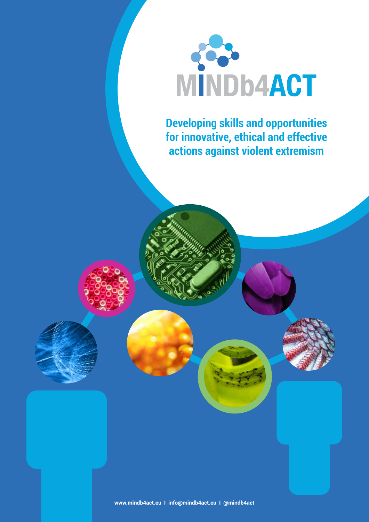

**Developing skills and opportunities for innovative, ethical and effective actions against violent extremism**